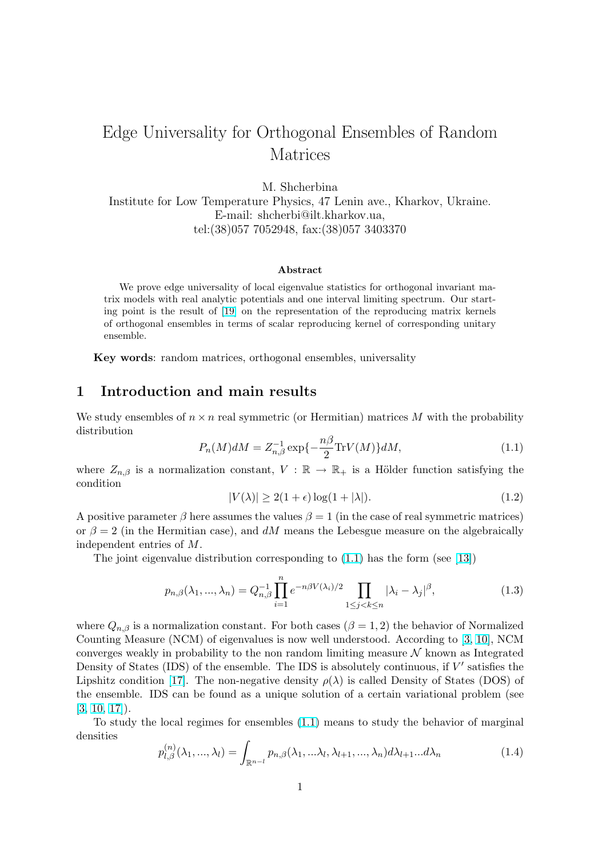# <span id="page-0-0"></span>Edge Universality for Orthogonal Ensembles of Random Matrices

M. Shcherbina

Institute for Low Temperature Physics, 47 Lenin ave., Kharkov, Ukraine. E-mail: shcherbi@ilt.kharkov.ua, tel:(38)057 7052948, fax:(38)057 3403370

#### Abstract

We prove edge universality of local eigenvalue statistics for orthogonal invariant matrix models with real analytic potentials and one interval limiting spectrum. Our starting point is the result of [19] on the representation of the reproducing matrix kernels of orthogonal ensembles in terms of scalar reproducing kernel of corresponding unitary ensemble.

Key words: random mat[rice](#page-14-0)s, orthogonal ensembles, universality

### 1 Introduction and main results

We study ensembles of  $n \times n$  real symmetric (or Hermitian) matrices M with the probability distribution

$$
P_n(M)dM = Z_{n,\beta}^{-1} \exp\{-\frac{n\beta}{2}\text{Tr}V(M)\}dM,\tag{1.1}
$$

where  $Z_{n,\beta}$  is a normalization constant,  $V : \mathbb{R} \to \mathbb{R}_+$  is a Hölder function satisfying the condition

$$
|V(\lambda)| \ge 2(1+\epsilon)\log(1+|\lambda|). \tag{1.2}
$$

A positive parameter  $\beta$  here assumes the values  $\beta = 1$  (in the case of real symmetric matrices) or  $\beta = 2$  (in the Hermitian case), and dM means the Lebesgue measure on the algebraically independent entries of M.

The joint eigenvalue distribution corresponding to  $(1.1)$  has the form (see [13])

$$
p_{n,\beta}(\lambda_1, ..., \lambda_n) = Q_{n,\beta}^{-1} \prod_{i=1}^n e^{-n\beta V(\lambda_i)/2} \prod_{1 \le j < k \le n} |\lambda_i - \lambda_j|^\beta,\tag{1.3}
$$

where  $Q_{n,\beta}$  is a normalization constant. For both cases  $(\beta = 1, 2)$  the behavior of Normalized Counting Measure (NCM) of eigenvalues is now well understood. According to [3, 10], NCM converges weakly in probability to the non random limiting measure  $\mathcal N$  known as Integrated Density of States (IDS) of the ensemble. The IDS is absolutely continuous, if  $V'$  satisfies the Lipshitz condition [17]. The non-negative density  $\rho(\lambda)$  is called Density of States (DOS) of the ensemble. IDS can be found as a unique solution of a certain variational [proble](#page-13-0)m (see [3, 10, 17]).

To study the lo[cal](#page-14-0) regimes for ensembles (1.1) means to study the behavior of marginal densities

$$
p_{l,\beta}^{(n)}(\lambda_1, \ldots, \lambda_l) = \int_{\mathbb{R}^{n-l}} p_{n,\beta}(\lambda_1, \ldots, \lambda_l, \lambda_{l+1}, \ldots, \lambda_n) d\lambda_{l+1} \ldots d\lambda_n
$$
\n(1.4)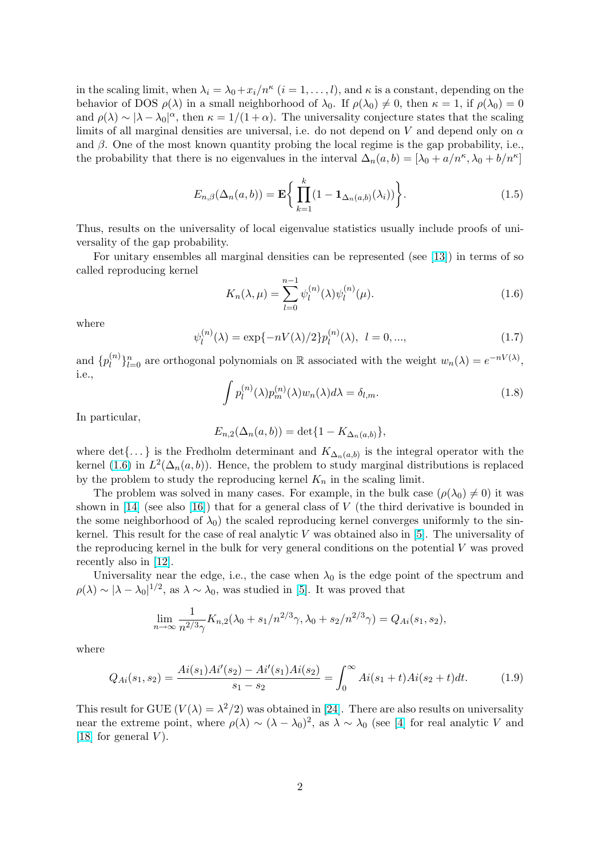<span id="page-1-0"></span>in the scaling limit, when  $\lambda_i = \lambda_0 + x_i/n^{\kappa}$   $(i = 1, ..., l)$ , and  $\kappa$  is a constant, depending on the behavior of DOS  $\rho(\lambda)$  in a small neighborhood of  $\lambda_0$ . If  $\rho(\lambda_0) \neq 0$ , then  $\kappa = 1$ , if  $\rho(\lambda_0) = 0$ and  $\rho(\lambda) \sim |\lambda - \lambda_0|^\alpha$ , then  $\kappa = 1/(1+\alpha)$ . The universality conjecture states that the scaling limits of all marginal densities are universal, i.e. do not depend on V and depend only on  $\alpha$ and  $\beta$ . One of the most known quantity probing the local regime is the gap probability, i.e., the probability that there is no eigenvalues in the interval  $\Delta_n(a,b) = [\lambda_0 + a/n^{\kappa}, \lambda_0 + b/n^{\kappa}]$ 

$$
E_{n,\beta}(\Delta_n(a,b)) = \mathbf{E}\bigg\{\prod_{k=1}^k (1 - \mathbf{1}_{\Delta_n(a,b)}(\lambda_i))\bigg\}.
$$
 (1.5)

Thus, results on the universality of local eigenvalue statistics usually include proofs of universality of the gap probability.

For unitary ensembles all marginal densities can be represented (see [13]) in terms of so called reproducing kernel

$$
K_n(\lambda, \mu) = \sum_{l=0}^{n-1} \psi_l^{(n)}(\lambda) \psi_l^{(n)}(\mu).
$$
 (1.6)

where

$$
\psi_l^{(n)}(\lambda) = \exp\{-nV(\lambda)/2\}p_l^{(n)}(\lambda), \ l = 0, ..., \tag{1.7}
$$

and  $\{p_l^{(n)}\}$  $\{n\}_{n=0}^n$  are orthogonal polynomials on R associated with the weight  $w_n(\lambda) = e^{-nV(\lambda)}$ , i.e.,

$$
\int p_l^{(n)}(\lambda)p_m^{(n)}(\lambda)w_n(\lambda)d\lambda = \delta_{l,m}.
$$
\n(1.8)

In particular,

$$
E_{n,2}(\Delta_n(a,b)) = \det\{1 - K_{\Delta_n(a,b)}\},\,
$$

where det $\{ \dots \}$  is the Fredholm determinant and  $K_{\Delta_n(a,b)}$  is the integral operator with the kernel (1.6) in  $L^2(\Delta_n(a,b))$ . Hence, the problem to study marginal distributions is replaced by the problem to study the reproducing kernel  $K_n$  in the scaling limit.

The problem was solved in many cases. For example, in the bulk case  $(\rho(\lambda_0) \neq 0)$  it was shown in [14] (see also [16]) that for a general class of V (the third derivative is bounded in the some neighborhood of  $\lambda_0$ ) the scaled reproducing kernel converges uniformly to the sinkernel. This result for the case of real analytic  $V$  was obtained also in [5]. The universality of the reproducing kernel [in t](#page-14-0)he bulk for very general conditions on the potential V was proved recently a[lso](#page-14-0) in [12].

Universality near the edge, i.e., the case when  $\lambda_0$  is the edge poi[nt](#page-13-0) of the spectrum and  $\rho(\lambda) \sim |\lambda - \lambda_0|^{1/2}$ , as  $\lambda \sim \lambda_0$ , was studied in [5]. It was proved that

$$
\lim_{n \to \infty} \frac{1}{n^{2/3}\gamma} K_{n,2}(\lambda_0 + s_1/n^{2/3}\gamma, \lambda_0 + s_2/n^{2/3}\gamma) = Q_{Ai}(s_1, s_2),
$$

where

$$
Q_{Ai}(s_1, s_2) = \frac{Ai(s_1)Ai'(s_2) - Ai'(s_1)Ai(s_2)}{s_1 - s_2} = \int_0^\infty Ai(s_1 + t)Ai(s_2 + t)dt.
$$
 (1.9)

This result for GUE  $(V(\lambda) = \lambda^2/2)$  was obtained in [24]. There are also results on universality near the extreme point, where  $\rho(\lambda) \sim (\lambda - \lambda_0)^2$ , as  $\lambda \sim \lambda_0$  (see [4] for real analytic V and [18] for general  $V$ ).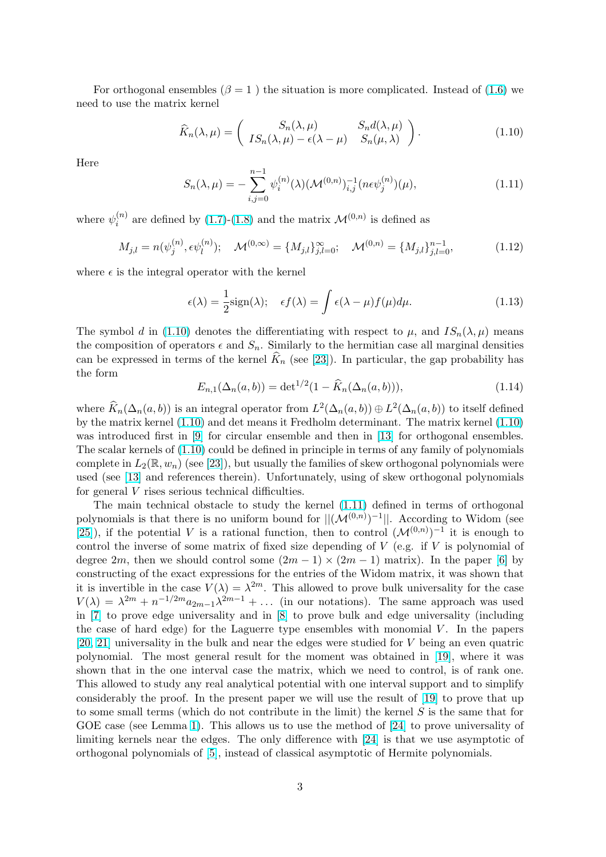<span id="page-2-0"></span>For orthogonal ensembles ( $\beta = 1$ ) the situation is more complicated. Instead of (1.6) we need to use the matrix kernel

$$
\widehat{K}_n(\lambda,\mu) = \begin{pmatrix} S_n(\lambda,\mu) & S_n d(\lambda,\mu) \\ IS_n(\lambda,\mu) - \epsilon(\lambda - \mu) & S_n(\mu,\lambda) \end{pmatrix}.
$$
\n(1.10)

Here

$$
S_n(\lambda, \mu) = -\sum_{i,j=0}^{n-1} \psi_i^{(n)}(\lambda) (\mathcal{M}^{(0,n)})_{i,j}^{-1} (n \epsilon \psi_j^{(n)}) (\mu), \tag{1.11}
$$

where  $\psi_i^{(n)}$  $i^{(n)}$  are defined by (1.7)-(1.8) and the matrix  $\mathcal{M}^{(0,n)}$  is defined as

$$
M_{j,l} = n(\psi_j^{(n)}, \epsilon \psi_l^{(n)}); \quad \mathcal{M}^{(0,\infty)} = \{M_{j,l}\}_{j,l=0}^{\infty}; \quad \mathcal{M}^{(0,n)} = \{M_{j,l}\}_{j,l=0}^{n-1},\tag{1.12}
$$

where  $\epsilon$  is the integral ope[rator with](#page-1-0) the kernel

$$
\epsilon(\lambda) = \frac{1}{2}\text{sign}(\lambda); \quad \epsilon f(\lambda) = \int \epsilon(\lambda - \mu)f(\mu)d\mu.
$$
 (1.13)

The symbol d in (1.10) denotes the differentiating with respect to  $\mu$ , and  $IS_n(\lambda, \mu)$  means the composition of operators  $\epsilon$  and  $S_n$ . Similarly to the hermitian case all marginal densities can be expressed in terms of the kernel  $K_n$  (see [23]). In particular, the gap probability has the form

$$
E_{n,1}(\Delta_n(a,b)) = \det^{1/2}(1 - \widehat{K}_n(\Delta_n(a,b))), \qquad (1.14)
$$

where  $\widehat{K}_n(\Delta_n(a, b))$  is an integral operator from  $L^2(\Delta_n(a, b)) \oplus L^2(\Delta_n(a, b))$  $L^2(\Delta_n(a, b)) \oplus L^2(\Delta_n(a, b))$  to itself defined by the matrix kernel (1.10) and det means it Fredholm determinant. The matrix kernel (1.10) was introduced first in [9] for circular ensemble and then in [13] for orthogonal ensembles. The scalar kernels of (1.10) could be defined in principle in terms of any family of polynomials complete in  $L_2(\mathbb{R}, w_n)$  (see [23]), but usually the families of skew orthogonal polynomials were used (see [13] and references therein). Unfortunately, using of [sk](#page-13-0)ew orthogonal polynomials for general V rises serio[us](#page-13-0) technical difficulties.

The main technical obstacle to study the kernel (1.11) defined in terms of orthogonal polynomialsis that there i[s no](#page-14-0) uniform bound for  $||(\mathcal{M}^{(0,n)})^{-1}||$ . According to Widom (see [25]), if t[he p](#page-13-0)otential V is a rational function, then to control  $(\mathcal{M}^{(0,n)})^{-1}$  it is enough to control the inverse of some matrix of fixed size depending of  $V$  (e.g. if  $V$  is polynomial of degree 2m, then we should control some  $(2m - 1) \times (2m - 1)$  matrix). In the paper [6] by constructing of the exact expressions for the entries of the Widom matrix, it was shown that [it is](#page-14-0) invertible in the case  $V(\lambda) = \lambda^{2m}$ . This allowed to prove bulk universality for the case  $V(\lambda) = \lambda^{2m} + n^{-1/2m} a_{2m-1} \lambda^{2m-1} + \dots$  (in our notations). The same approach was used in [7] to prove edge universality and in [8] to prove bulk and edge universality (incl[ud](#page-13-0)ing the case of hard edge) for the Laguerre type ensembles with monomial  $V$ . In the papers [20, 21] universality in the bulk and near the edges were studied for V being an even quatric polynomial. The most general result for the moment was obtained in [19], where it was sho[w](#page-13-0)n that in the one interval case the [m](#page-13-0)atrix, which we need to control, is of rank one. This allowed to study any real analytical potential with one interval support and to simplify [conside](#page-14-0)rably the proof. In the present paper we will use the result of [19] to prove that up to some small terms (which do not contribute in [th](#page-14-0)e limit) the kernel  $S$  is the same that for GOE case (see Lemma 1). This allows us to use the method of [24] to prove universality of limiting kernels near the edges. The only difference with [24] is that we use asymptotic of orthogonal polynomials of [5], instead of classical asymptotic of Hermit[e p](#page-14-0)olynomials.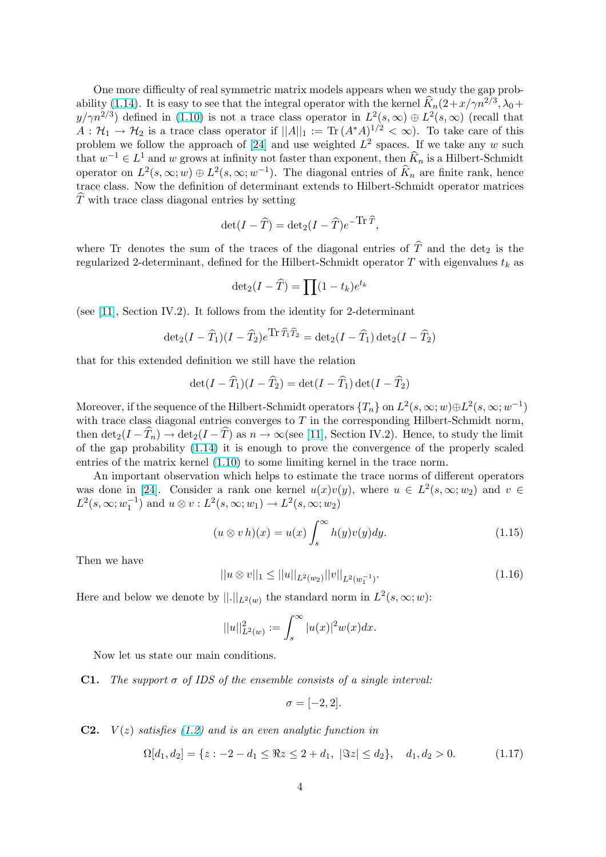<span id="page-3-0"></span>One more difficulty of real symmetric matrix models appears when we study the gap probability (1.14). It is easy to see that the integral operator with the kernel  $\widehat{K}_n(2+x/\gamma n^{2/3}, \lambda_0+\lambda_0)$  $y/\gamma n^{2/3}$  defined in (1.10) is not a trace class operator in  $L^2(s,\infty) \oplus L^2(s,\infty)$  (recall that  $A: \mathcal{H}_1 \to \mathcal{H}_2$  is a trace class operator if  $||A||_1 := \text{Tr} (A^*A)^{1/2} < \infty$ ). To take care of this problem we follow the approach of [24] and use weighted  $L^2$  spaces. If we take any w such that  $w^{-1} \in L^1$  and w grows at infinity not faster than exponent, then  $\widehat{K}_n$  is a Hilbert-Schmidt operator on  $L^2(s,\infty; w) \oplus L^2(s,\infty; w^{-1})$  $L^2(s,\infty; w) \oplus L^2(s,\infty; w^{-1})$  $L^2(s,\infty; w) \oplus L^2(s,\infty; w^{-1})$ . The diagonal entries of  $\widehat{K}_n$  are finite rank, hence trace class. Now the definition of determinant extends to Hilbert-Schmidt operator matrices  $\hat{T}$  with trace class diagonal entries [by s](#page-14-0)etting

$$
\det(I - \widehat{T}) = \det_2(I - \widehat{T})e^{-\text{Tr}\,\widehat{T}},
$$

where Tr denotes the sum of the traces of the diagonal entries of  $\hat{T}$  and the det<sub>2</sub> is the regularized 2-determinant, defined for the Hilbert-Schmidt operator T with eigenvalues  $t_k$  as

$$
\det_2(I - \widehat{T}) = \prod (1 - t_k)e^{t_k}
$$

(see [11], Section IV.2). It follows from the identity for 2-determinant

$$
\det_2(I - \widehat{T}_1)(I - \widehat{T}_2)e^{\text{Tr}\,\widehat{T}_1\widehat{T}_2} = \det_2(I - \widehat{T}_1)\det_2(I - \widehat{T}_2)
$$

that [for](#page-13-0) this extended definition we still have the relation

$$
\det(I - \widehat{T}_1)(I - \widehat{T}_2) = \det(I - \widehat{T}_1)\det(I - \widehat{T}_2)
$$

Moreover, if the sequence of the Hilbert-Schmidt operators  $\{T_n\}$  on  $L^2(s,\infty;w) \oplus L^2(s,\infty;w^{-1})$ with trace class diagonal entries converges to  $T$  in the corresponding Hilbert-Schmidt norm, then  $\det_2(I - \hat{T}_n) \to \det_2(I - \hat{T})$  as  $n \to \infty$  (see [11], Section IV.2). Hence, to study the limit of the gap probability (1.14) it is enough to prove the convergence of the properly scaled entries of the matrix kernel (1.10) to some limiting kernel in the trace norm.

An important observation which helps to estimate the trace norms of different operators was done in [24]. Consider a rank one kernel  $u(x)v(y)$  $u(x)v(y)$ , where  $u \in L^2(s,\infty;w_2)$  and  $v \in$  $L^2(s,\infty;w_1^{-1})$  $L^2(s,\infty;w_1^{-1})$  $L^2(s,\infty;w_1^{-1})$  $L^2(s,\infty;w_1^{-1})$  and  $u\otimes v: L^2(s,\infty;w_1)\to L^2(s,\infty;w_2)$ 

$$
(u \otimes v h)(x) = u(x) \int_{s}^{\infty} h(y)v(y)dy.
$$
 (1.15)

Then we have

$$
||u \otimes v||_1 \le ||u||_{L^2(w_2)} ||v||_{L^2(w_1^{-1})}.
$$
\n(1.16)

Here and below we denote by  $||.||_{L^2(w)}$  the standard norm in  $L^2(s,\infty;w)$ :

$$
||u||_{L^{2}(w)}^{2} := \int_{s}^{\infty} |u(x)|^{2} w(x) dx.
$$

Now let us state our main conditions.

**C1.** The support  $\sigma$  of IDS of the ensemble consists of a single interval:

$$
\sigma = [-2, 2].
$$

**C2.**  $V(z)$  satisfies (1.2) and is an even analytic function in

$$
\Omega[d_1, d_2] = \{ z : -2 - d_1 \leq \Re z \leq 2 + d_1, \ |\Im z| \leq d_2 \}, \quad d_1, d_2 > 0. \tag{1.17}
$$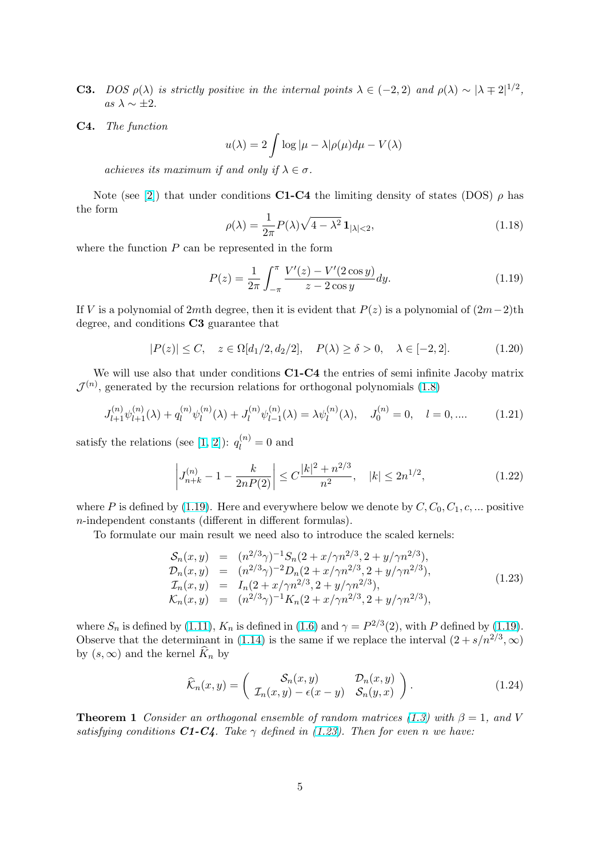- <span id="page-4-0"></span>**C3.** DOS  $\rho(\lambda)$  is strictly positive in the internal points  $\lambda \in (-2, 2)$  and  $\rho(\lambda) \sim |\lambda \pm 2|^{1/2}$ , as  $\lambda \sim \pm 2$ .
- C4. The function

$$
u(\lambda) = 2 \int \log|\mu - \lambda| \rho(\mu) d\mu - V(\lambda)
$$

achieves its maximum if and only if  $\lambda \in \sigma$ .

Note (see [2]) that under conditions **C1-C4** the limiting density of states (DOS)  $\rho$  has the form p

$$
\rho(\lambda) = \frac{1}{2\pi} P(\lambda) \sqrt{4 - \lambda^2} \mathbf{1}_{|\lambda| < 2},\tag{1.18}
$$

where the fun[cti](#page-13-0)on  $P$  can be represented in the form

$$
P(z) = \frac{1}{2\pi} \int_{-\pi}^{\pi} \frac{V'(z) - V'(2\cos y)}{z - 2\cos y} dy.
$$
 (1.19)

If V is a polynomial of 2mth degree, then it is evident that  $P(z)$  is a polynomial of  $(2m-2)$ th degree, and conditions C3 guarantee that

$$
|P(z)| \le C, \quad z \in \Omega[d_1/2, d_2/2], \quad P(\lambda) \ge \delta > 0, \quad \lambda \in [-2, 2]. \tag{1.20}
$$

We will use also that under conditions C1-C4 the entries of semi infinite Jacoby matrix  $\mathcal{J}^{(n)}$ , generated by the recursion relations for orthogonal polynomials (1.8)

$$
J_{l+1}^{(n)}\psi_{l+1}^{(n)}(\lambda) + q_l^{(n)}\psi_l^{(n)}(\lambda) + J_l^{(n)}\psi_{l-1}^{(n)}(\lambda) = \lambda \psi_l^{(n)}(\lambda), \quad J_0^{(n)} = 0, \quad l = 0, \dots \tag{1.21}
$$

satisfy the relations (see [1, 2]):  $q_l^{(n)} = 0$  and

$$
\left| J_{n+k}^{(n)} - 1 - \frac{k}{2nP(2)} \right| \le C \frac{|k|^2 + n^{2/3}}{n^2}, \quad |k| \le 2n^{1/2}, \tag{1.22}
$$

where P is defined by (1.19). Here and everywhere below we denote by  $C, C_0, C_1, c, ...$  positive n-independent constants (different in different formulas).

To formulate our main result we need also to introduce the scaled kernels:

$$
S_n(x, y) = (n^{2/3}\gamma)^{-1} S_n(2 + x/\gamma n^{2/3}, 2 + y/\gamma n^{2/3}),
$$
  
\n
$$
D_n(x, y) = (n^{2/3}\gamma)^{-2} D_n(2 + x/\gamma n^{2/3}, 2 + y/\gamma n^{2/3}),
$$
  
\n
$$
I_n(x, y) = I_n(2 + x/\gamma n^{2/3}, 2 + y/\gamma n^{2/3}),
$$
  
\n
$$
K_n(x, y) = (n^{2/3}\gamma)^{-1} K_n(2 + x/\gamma n^{2/3}, 2 + y/\gamma n^{2/3}),
$$
\n(1.23)

where  $S_n$  is defined by (1.11),  $K_n$  is defined in (1.6) and  $\gamma = P^{2/3}(2)$ , with P defined by (1.19). Observe that the determinant in (1.14) is the same if we replace the interval  $(2 + s/n^{2/3}, \infty)$ by  $(s, \infty)$  and the kernel  $K_n$  by

$$
\widehat{\mathcal{K}}_n(x,y) = \begin{pmatrix} \mathcal{S}_n(x,y) & \mathcal{D}_n(x,y) \\ \mathcal{I}_n(x,y) - \epsilon(x-y) & \mathcal{S}_n(y,x) \end{pmatrix}.
$$
 (1.24)

**Theorem 1** Consider an orthogonal ensemble of random matrices (1.3) with  $\beta = 1$ , and V satisfying conditions  $C1-C4$ . Take  $\gamma$  defined in (1.23). Then for even n we have: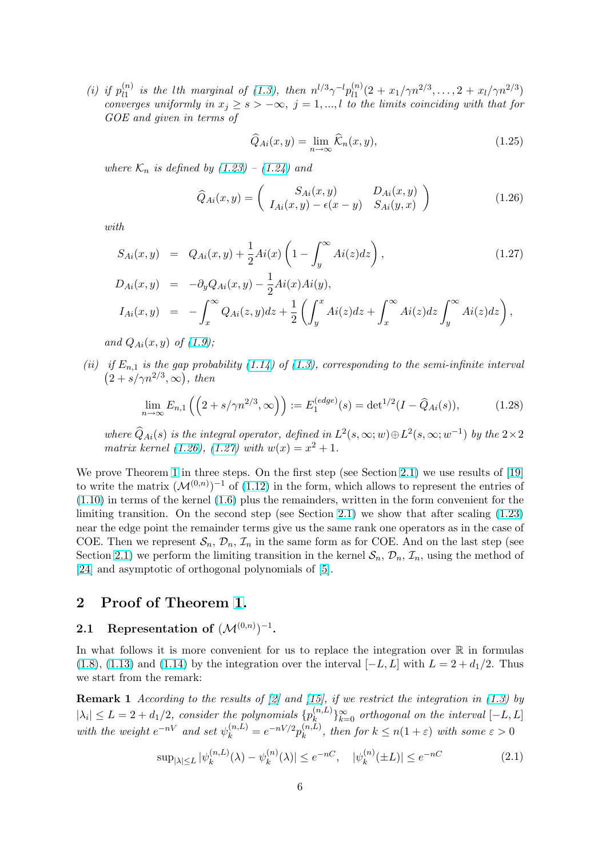<span id="page-5-0"></span>(*i*) if  $p_{l1}^{(n)}$  $\stackrel{(n)}{l_1}$  is the lth marginal of (1.3), then  $n^{l/3}\gamma^{-l}p^{(n)}_{l_1}$  $\binom{n}{l_1}(2+x_1/\gamma n^{2/3},\ldots,2+x_l/\gamma n^{2/3})$ converges uniformly in  $x_j \geq s > -\infty$ ,  $j = 1, ..., l$  to the limits coinciding with that for GOE and given in terms of

$$
\widehat{Q}_{Ai}(x,y) = \lim_{n \to \infty} \widehat{\mathcal{K}}_n(x,y),\tag{1.25}
$$

where  $\mathcal{K}_n$  is defined by (1.23) – (1.24) and

$$
\widehat{Q}_{Ai}(x,y) = \begin{pmatrix} S_{Ai}(x,y) & D_{Ai}(x,y) \\ I_{Ai}(x,y) - \epsilon(x-y) & S_{Ai}(y,x) \end{pmatrix}
$$
(1.26)

with

$$
S_{Ai}(x,y) = Q_{Ai}(x,y) + \frac{1}{2}Ai(x)\left(1 - \int_y^\infty Ai(z)dz\right),
$$
\n
$$
D_{Ai}(x,y) = -\partial_y Q_{Ai}(x,y) - \frac{1}{2}Ai(x)Ai(y),
$$
\n
$$
I_{Ai}(x,y) = -\int_0^\infty Q_{Ai}(z,y)dz + \frac{1}{2}\left(\int_x^x Ai(z)dz + \int_x^\infty Ai(z)dz\right),
$$
\n(1.27)

 $I_{Ai}(x, y) =$ x  $Q_{Ai}(z, y)dz + \frac{1}{2}$ 2  $\overline{y}$  $Ai(z)dz +$ x  $Ai(z)dz \int^{\infty}$  $\overline{y}$ 

and  $Q_{Ai}(x, y)$  of  $(1.9)$ ;

(ii) if  $E_{n,1}$  is the gap probability (1.14) of (1.3), corresponding to the semi-infinite interval  $2 + s/\gamma n^{2/3}, \infty$ , then

$$
\lim_{n \to \infty} E_{n,1}\left(\left(2 + s/\gamma n^{2/3}, \infty\right)\right) := E_1^{(edge)}(s) = \det^{1/2}(I - \widehat{Q}_{Ai}(s)),\tag{1.28}
$$

where  $\widehat{Q}_{Ai}(s)$  is the integral operator, defined in  $L^2(s,\infty;w) \oplus L^2(s,\infty;w^{-1})$  by the  $2 \times 2$ matrix kernel (1.26), (1.27) with  $w(x) = x^2 + 1$ .

We prove Theorem 1 in three steps. On the first step (see Section 2.1) we use results of [19] to write the matrix  $(M^{(0,n)})^{-1}$  of (1.12) in the form, which allows to represent the entries of (1.10) in terms of the kernel (1.6) plus the remainders, written in the form convenient for the limiting transition. On the second step (see Section 2.1) we show that after scaling (1.23) near the edge point [th](#page-4-0)e remainder terms give us the same rank one operators as in the cas[e of](#page-14-0) COE. Then we represent  $S_n$ ,  $\mathcal{D}_n$ ,  $\mathcal{I}_n$  [in](#page-2-0) the same form as for COE. And on the last step (see [Sectio](#page-2-0)n2.1) we perform the l[imit](#page-1-0)ing transition in the kernel  $S_n$ ,  $\mathcal{D}_n$ ,  $\mathcal{I}_n$ , using the met[hod of](#page-4-0) [24] and asymptotic of orthogonal polynomials of [5].

#### 2 Proof of Theorem 1.

### [2.1](#page-14-0) Representation of  $(\mathcal{M}^{(0,n)})^{-1}$ .

In what follows it is more conv[en](#page-4-0)ient for us to replace the integration over  $\mathbb R$  in formulas (1.8), (1.13) and (1.14) by the integration over the interval  $[-L, L]$  with  $L = 2 + d_1/2$ . Thus we start from the remark:

**Remark 1** According to the results of [2] and [15], if we restrict the integration in (1.3) by  $|\lambda_i| \leq L = 2 + d_1/2$  $|\lambda_i| \leq L = 2 + d_1/2$  $|\lambda_i| \leq L = 2 + d_1/2$ [, co](#page-2-0)nsider the polynomials  $\{p_k^{(n,L)}\}$  $\{a, L\}\}_{k=0}^{\infty}$  orthogonal on the interval  $[-L, L]$ with the weight  $e^{-nV}$  and set  $\psi_k^{(n,L)} = e^{-nV/2} p_k^{(n,L)}$  $\binom{n,L}{k}$ , then for  $k \leq n(1+\varepsilon)$  with some  $\varepsilon > 0$ 

$$
\sup_{|\lambda| \le L} |\psi_k^{(n,L)}(\lambda) - \psi_k^{(n)}(\lambda)| \le e^{-nC}, \quad |\psi_k^{(n)}(\pm L)| \le e^{-nC} \tag{2.1}
$$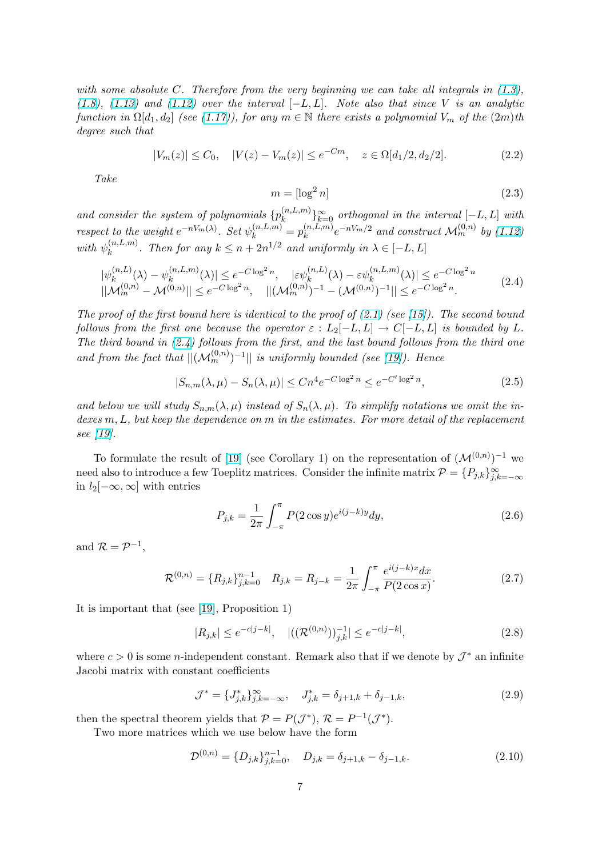<span id="page-6-0"></span>with some absolute C. Therefore from the very beginning we can take all integrals in  $(1.3)$ , (1.8), (1.13) and (1.12) over the interval  $[-L, L]$ . Note also that since V is an analytic function in  $\Omega[d_1, d_2]$  (see (1.17)), for any  $m \in \mathbb{N}$  there exists a polynomial  $V_m$  of the  $(2m)$ th degree such that

$$
|V_m(z)| \le C_0, \quad |V(z) - V_m(z)| \le e^{-Cm}, \quad z \in \Omega[d_1/2, d_2/2]. \tag{2.2}
$$

Take

$$
m = \left[\log^2 n\right] \tag{2.3}
$$

and consider the system of polynomials  $\{p_k^{(n,L,m)}\}$  $\{e^{(n,L,m)}\}_{k=0}^{\infty}$  orthogonal in the interval  $[-L, L]$  with respect to the weight  $e^{-nV_m(\lambda)}$ . Set  $\psi_k^{(n,L,m)} = p_k^{(n,L,m)}$  $\mathbb{R}^{(n,L,m)}e^{-nV_m/2}$  and construct  $\mathcal{M}_m^{(0,n)}$  by  $(1.12)$ with  $\psi_k^{(n,L,m)}$  $\sum_{k=1}^{(n,L,m)}$ . Then for any  $k \leq n + 2n^{1/2}$  and uniformly in  $\lambda \in [-L, L]$ 

$$
|\psi_k^{(n,L)}(\lambda) - \psi_k^{(n,L,m)}(\lambda)| \le e^{-C \log^2 n}, \quad |\varepsilon \psi_k^{(n,L)}(\lambda) - \varepsilon \psi_k^{(n,L,m)}(\lambda)| \le e^{-C \log^2 n}
$$
  

$$
||\mathcal{M}_m^{(0,n)} - \mathcal{M}^{(0,n)}|| \le e^{-C \log^2 n}, \quad ||(\mathcal{M}_m^{(0,n)})^{-1} - (\mathcal{M}^{(0,n)})^{-1}|| \le e^{-C \log^2 n}.
$$
 (2.4)

The proof of the first bound here is identical to the proof of  $(2.1)$  (see [15]). The second bound follows from the first one because the operator  $\varepsilon : L_2[-L, L] \to C[-L, L]$  is bounded by L. The third bound in  $(2.4)$  follows from the first, and the last bound follows from the third one and from the fact that  $||(\mathcal{M}_m^{(0,n)})^{-1}||$  is uniformly bounded [\(see](#page-5-0) [19]). [He](#page-14-0)nce

$$
|S_{n,m}(\lambda,\mu) - S_n(\lambda,\mu)| \le Cn^4 e^{-C \log^2 n} \le e^{-C' \log^2 n},\tag{2.5}
$$

and below we will study  $S_{n,m}(\lambda,\mu)$  instead of  $S_n(\lambda,\mu)$ . To simpl[ify](#page-14-0) notations we omit the indexes  $m, L$ , but keep the dependence on  $m$  in the estimates. For more detail of the replacement see [19].

To formulate the result of [19] (see Corollary 1) on the representation of  $(\mathcal{M}^{(0,n)})^{-1}$  we need also to introduce a few Toeplitz matrices. Consider the infinite matrix  $\mathcal{P} = \{P_{j,k}\}_{j,k=-\infty}^{\infty}$ in  $l_2[-\infty,\infty]$  with entries

$$
P_{j,k} = \frac{1}{2\pi} \int_{-\pi}^{\pi} P(2\cos y) e^{i(j-k)y} dy,
$$
\n(2.6)

and  $\mathcal{R} = \mathcal{P}^{-1}$ ,

$$
\mathcal{R}^{(0,n)} = \{R_{j,k}\}_{j,k=0}^{n-1} \quad R_{j,k} = R_{j-k} = \frac{1}{2\pi} \int_{-\pi}^{\pi} \frac{e^{i(j-k)x} dx}{P(2\cos x)}.
$$
\n(2.7)

It is important that (see [19], Proposition 1)

$$
|R_{j,k}| \le e^{-c|j-k|}, \quad |((\mathcal{R}^{(0,n)}))_{j,k}^{-1}| \le e^{-c|j-k|}, \tag{2.8}
$$

where  $c > 0$  is some *n*-ind[epe](#page-14-0)ndent constant. Remark also that if we denote by  $\mathcal{J}^*$  an infinite Jacobi matrix with constant coefficients

$$
\mathcal{J}^* = \{J_{j,k}^*\}_{j,k=-\infty}^{\infty}, \quad J_{j,k}^* = \delta_{j+1,k} + \delta_{j-1,k},
$$
\n(2.9)

then the spectral theorem yields that  $P = P(\mathcal{J}^*), R = P^{-1}(\mathcal{J}^*).$ 

Two more matrices which we use below have the form

$$
\mathcal{D}^{(0,n)} = \{D_{j,k}\}_{j,k=0}^{n-1}, \quad D_{j,k} = \delta_{j+1,k} - \delta_{j-1,k}.
$$
\n(2.10)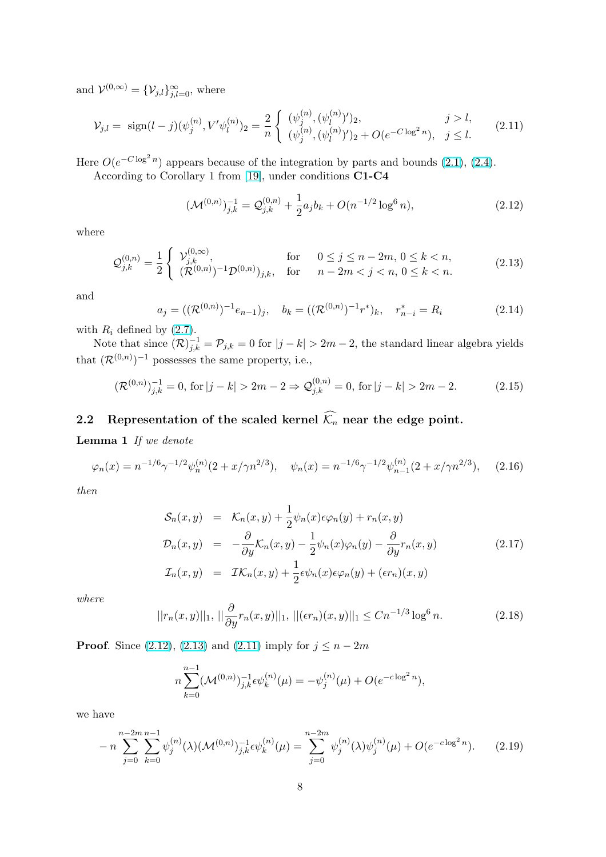<span id="page-7-0"></span>and  $\mathcal{V}^{(0,\infty)} = {\mathcal{V}_{j,l}}_{j,l=0}^{\infty}$ , where

$$
\mathcal{V}_{j,l} = \text{sign}(l-j)(\psi_j^{(n)}, V'\psi_l^{(n)})_2 = \frac{2}{n} \begin{cases} (\psi_j^{(n)}, (\psi_l^{(n)})')_2, & j > l, \\ (\psi_j^{(n)}, (\psi_l^{(n)})')_2 + O(e^{-C\log^2 n}), & j \le l. \end{cases}
$$
(2.11)

Here  $O(e^{-C \log^2 n})$  appears because of the integration by parts and bounds (2.1), (2.4).

According to Corollary 1 from [19], under conditions C1-C4

$$
(\mathcal{M}^{(0,n)})_{j,k}^{-1} = \mathcal{Q}_{j,k}^{(0,n)} + \frac{1}{2} a_j b_k + O(n^{-1/2} \log^6 n), \tag{2.12}
$$

where

$$
\mathcal{Q}_{j,k}^{(0,n)} = \frac{1}{2} \begin{cases} \mathcal{V}_{j,k}^{(0,\infty)}, & \text{for} \quad 0 \le j \le n-2m, \, 0 \le k < n, \\ (\mathcal{R}^{(0,n)})^{-1} \mathcal{D}^{(0,n)})_{j,k}, & \text{for} \quad n-2m < j < n, \, 0 \le k < n. \end{cases} \tag{2.13}
$$

and

$$
a_j = ((\mathcal{R}^{(0,n)})^{-1}e_{n-1})_j, \quad b_k = ((\mathcal{R}^{(0,n)})^{-1}r^*)_k, \quad r^*_{n-i} = R_i \tag{2.14}
$$

with  $R_i$  defined by  $(2.7)$ .

Note that since  $(\mathcal{R})_{j,k}^{-1} = \mathcal{P}_{j,k} = 0$  for  $|j - k| > 2m - 2$ , the standard linear algebra yields that  $(\mathcal{R}^{(0,n)})^{-1}$  possesses the same property, i.e.,

$$
(\mathcal{R}^{(0,n)})_{j,k}^{-1} = 0, \text{ for } |j - k| > 2m - 2 \Rightarrow \mathcal{Q}_{j,k}^{(0,n)} = 0, \text{ for } |j - k| > 2m - 2. \tag{2.15}
$$

## 2.2 Representation of the scaled kernel  $\widehat{\mathcal{K}}_n$  near the edge point.

Lemma 1 If we denote

$$
\varphi_n(x) = n^{-1/6} \gamma^{-1/2} \psi_n^{(n)}(2 + x/\gamma n^{2/3}), \quad \psi_n(x) = n^{-1/6} \gamma^{-1/2} \psi_{n-1}^{(n)}(2 + x/\gamma n^{2/3}), \quad (2.16)
$$

then

$$
\mathcal{S}_n(x, y) = \mathcal{K}_n(x, y) + \frac{1}{2} \psi_n(x) \epsilon \varphi_n(y) + r_n(x, y)
$$
  
\n
$$
\mathcal{D}_n(x, y) = -\frac{\partial}{\partial y} \mathcal{K}_n(x, y) - \frac{1}{2} \psi_n(x) \varphi_n(y) - \frac{\partial}{\partial y} r_n(x, y)
$$
  
\n
$$
\mathcal{I}_n(x, y) = \mathcal{I} \mathcal{K}_n(x, y) + \frac{1}{2} \epsilon \psi_n(x) \epsilon \varphi_n(y) + (\epsilon r_n)(x, y)
$$
\n(2.17)

where

$$
||r_n(x,y)||_1, \, ||\frac{\partial}{\partial y}r_n(x,y)||_1, \, ||(\epsilon r_n)(x,y)||_1 \leq Cn^{-1/3}\log^6 n. \tag{2.18}
$$

**Proof.** Since (2.12), (2.13) and (2.11) imply for  $j \le n - 2m$ 

$$
n\sum_{k=0}^{n-1}(\mathcal{M}^{(0,n)})_{j,k}^{-1}\epsilon\psi_k^{(n)}(\mu)=-\psi_j^{(n)}(\mu)+O(e^{-c\log^2 n}),
$$

we have

$$
-n\sum_{j=0}^{n-2m} \sum_{k=0}^{n-1} \psi_j^{(n)}(\lambda) (\mathcal{M}^{(0,n)})_{j,k}^{-1} \epsilon \psi_k^{(n)}(\mu) = \sum_{j=0}^{n-2m} \psi_j^{(n)}(\lambda) \psi_j^{(n)}(\mu) + O(e^{-c \log^2 n}). \tag{2.19}
$$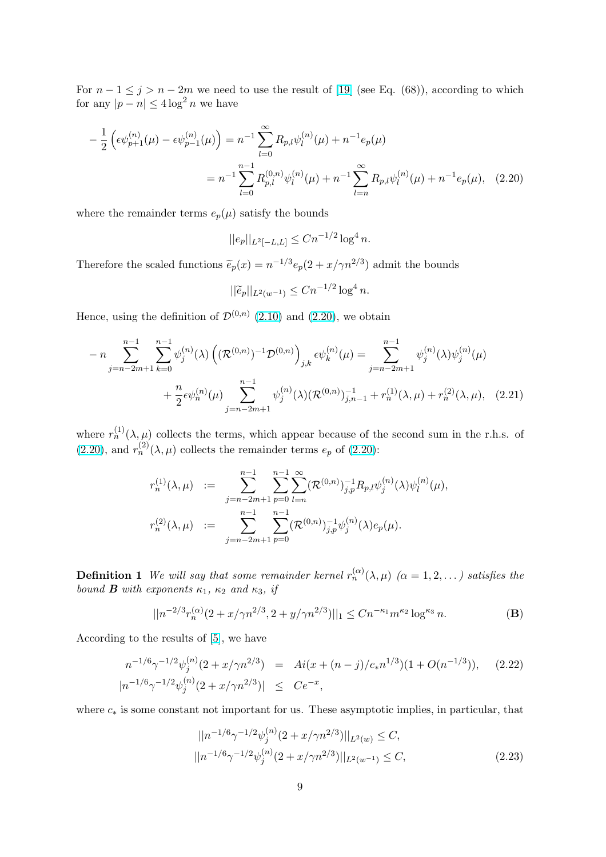<span id="page-8-0"></span>For  $n-1 \leq j > n-2m$  we need to use the result of [19] (see Eq. (68)), according to which for any  $|p - n| \leq 4 \log^2 n$  we have

$$
-\frac{1}{2}\left(\epsilon\psi_{p+1}^{(n)}(\mu) - \epsilon\psi_{p-1}^{(n)}(\mu)\right) = n^{-1}\sum_{l=0}^{\infty} R_{p,l}\psi_l^{(n)}(\mu) + n^{-1}e_p(\mu)
$$

$$
= n^{-1}\sum_{l=0}^{n-1} R_{p,l}^{(0,n)}\psi_l^{(n)}(\mu) + n^{-1}\sum_{l=n}^{\infty} R_{p,l}\psi_l^{(n)}(\mu) + n^{-1}e_p(\mu), \quad (2.20)
$$

where the remainder terms  $e_p(\mu)$  satisfy the bounds

$$
||e_p||_{L^2[-L,L]} \leq Cn^{-1/2} \log^4 n.
$$

Therefore the scaled functions  $\tilde{e}_p(x) = n^{-1/3} e_p(2 + x/\gamma n^{2/3})$  admit the bounds

$$
||\widetilde{e}_p||_{L^2(w^{-1})} \le Cn^{-1/2} \log^4 n.
$$

Hence, using the definition of  $\mathcal{D}^{(0,n)}$  (2.10) and (2.20), we obtain

$$
- n \sum_{j=n-2m+1}^{n-1} \sum_{k=0}^{n-1} \psi_j^{(n)}(\lambda) \left( (\mathcal{R}^{(0,n)})^{-1} \mathcal{D}^{(0,n)} \right)_{j,k} \epsilon \psi_k^{(n)}(\mu) = \sum_{j=n-2m+1}^{n-1} \psi_j^{(n)}(\lambda) \psi_j^{(n)}(\mu)
$$
  
+ 
$$
\frac{n}{2} \epsilon \psi_n^{(n)}(\mu) \sum_{j=n-2m+1}^{n-1} \psi_j^{(n)}(\lambda) (\mathcal{R}^{(0,n)})^{-1}_{j,n-1} + r_n^{(1)}(\lambda,\mu) + r_n^{(2)}(\lambda,\mu), \quad (2.21)
$$

where  $r_n^{(1)}(\lambda,\mu)$  collects the terms, which appear because of the second sum in the r.h.s. of (2.20), and  $r_n^{(2)}(\lambda,\mu)$  collects the remainder terms  $e_p$  of (2.20):

$$
r_n^{(1)}(\lambda, \mu) := \sum_{j=n-2m+1}^{n-1} \sum_{p=0}^{n-1} \sum_{l=n}^{\infty} (\mathcal{R}^{(0,n)})_{j,p}^{-1} R_{p,l} \psi_j^{(n)}(\lambda) \psi_l^{(n)}(\mu),
$$
  

$$
r_n^{(2)}(\lambda, \mu) := \sum_{j=n-2m+1}^{n-1} \sum_{p=0}^{n-1} (\mathcal{R}^{(0,n)})_{j,p}^{-1} \psi_j^{(n)}(\lambda) e_p(\mu).
$$

**Definition 1** We will say that some remainder kernel  $r_n^{(\alpha)}(\lambda,\mu)$   $(\alpha = 1, 2, ...)$  satisfies the bound **B** with exponents  $\kappa_1$ ,  $\kappa_2$  and  $\kappa_3$ , if

$$
||n^{-2/3}r_n^{(\alpha)}(2+x/\gamma n^{2/3}, 2+y/\gamma n^{2/3})||_1 \le Cn^{-\kappa_1}m^{\kappa_2}\log^{\kappa_3} n.
$$
 (B)

According to the results of [5], we have

$$
n^{-1/6}\gamma^{-1/2}\psi_j^{(n)}(2+x/\gamma n^{2/3}) = Ai(x+(n-j)/c_*n^{1/3})(1+O(n^{-1/3})), \quad (2.22)
$$
  

$$
|n^{-1/6}\gamma^{-1/2}\psi_j^{(n)}(2+x/\gamma n^{2/3})| \le Ce^{-x},
$$

where  $c_*$  is some constant not important for us. These asymptotic implies, in particular, that

$$
||n^{-1/6}\gamma^{-1/2}\psi_j^{(n)}(2+x/\gamma n^{2/3})||_{L^2(w)} \le C,
$$
  

$$
||n^{-1/6}\gamma^{-1/2}\psi_j^{(n)}(2+x/\gamma n^{2/3})||_{L^2(w^{-1})} \le C,
$$
 (2.23)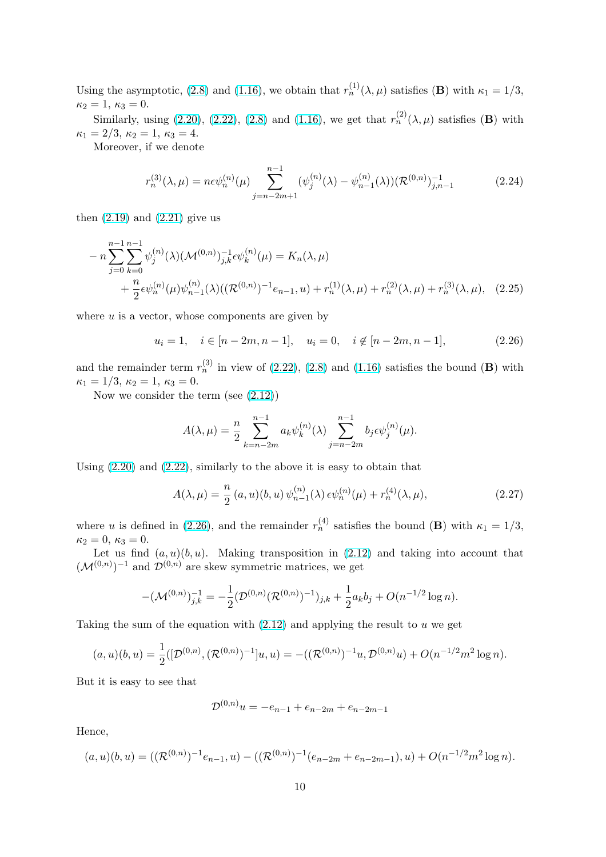Using the asymptotic, (2.8) and (1.16), we obtain that  $r_n^{(1)}(\lambda,\mu)$  satisfies (**B**) with  $\kappa_1 = 1/3$ ,  $\kappa_2 = 1, \, \kappa_3 = 0.$ 

Similarly, using (2.20), (2.22), (2.8) and (1.16), we get that  $r_n^{(2)}(\lambda,\mu)$  satisfies (**B**) with  $\kappa_1 = 2/3, \, \kappa_2 = 1, \, \kappa_3 = 4.$ 

Moreover, if we den[ote](#page-6-0)

$$
r_n^{(3)}(\lambda,\mu) = n\epsilon \psi_n^{(n)}(\mu) \sum_{j=n-2m+1}^{n-1} (\psi_j^{(n)}(\lambda) - \psi_{n-1}^{(n)}(\lambda)) (\mathcal{R}^{(0,n)})_{j,n-1}^{-1}
$$
 (2.24)

then  $(2.19)$  and  $(2.21)$  give us

$$
- n \sum_{j=0}^{n-1} \sum_{k=0}^{n-1} \psi_j^{(n)}(\lambda) (\mathcal{M}^{(0,n)})_{j,k}^{-1} \epsilon \psi_k^{(n)}(\mu) = K_n(\lambda, \mu)
$$
  
+ 
$$
\frac{n}{2} \epsilon \psi_n^{(n)}(\mu) \psi_{n-1}^{(n)}(\lambda) ((\mathcal{R}^{(0,n)})^{-1} e_{n-1}, u) + r_n^{(1)}(\lambda, \mu) + r_n^{(2)}(\lambda, \mu) + r_n^{(3)}(\lambda, \mu), \quad (2.25)
$$

where  $u$  is a vector, whose components are given by

$$
u_i = 1, \quad i \in [n-2m, n-1], \quad u_i = 0, \quad i \notin [n-2m, n-1],
$$
 (2.26)

and the remainder term  $r_n^{(3)}$  in view of (2.22), (2.8) and (1.16) satisfies the bound (**B**) with  $\kappa_1 = 1/3, \, \kappa_2 = 1, \, \kappa_3 = 0.$ 

Now we consider the term (see (2.12))

$$
A(\lambda, \mu) = \frac{n}{2} \sum_{k=n-2m}^{n-1} a_k \psi_k^{(n)}(\lambda) \sum_{j=n-2m}^{n-1} b_j \epsilon \psi_j^{(n)}(\mu).
$$

Using (2.20) and (2.22), similarly to the above it is easy to obtain that

$$
A(\lambda,\mu) = \frac{n}{2} (a,u)(b,u) \psi_{n-1}^{(n)}(\lambda) \epsilon \psi_n^{(n)}(\mu) + r_n^{(4)}(\lambda,\mu), \qquad (2.27)
$$

where u [is d](#page-8-0)efine[d in \(](#page-8-0)2.26), and the remainder  $r_n^{(4)}$  satisfies the bound (**B**) with  $\kappa_1 = 1/3$ ,  $\kappa_2 = 0, \, \kappa_3 = 0.$ 

Let us find  $(a, u)(b, u)$ . Making transposition in  $(2.12)$  and taking into account that  $(\mathcal{M}^{(0,n)})^{-1}$  and  $\mathcal{D}^{(0,n)}$  are skew symmetric matrices, we get

$$
-(\mathcal{M}^{(0,n)})_{j,k}^{-1} = -\frac{1}{2}(\mathcal{D}^{(0,n)}(\mathcal{R}^{(0,n)})^{-1})_{j,k} + \frac{1}{2}a_k b_j + O(n^{-1/2}\log n).
$$

Taking the sum of the equation with  $(2.12)$  and applying the result to u we get

$$
(a, u)(b, u) = \frac{1}{2}([\mathcal{D}^{(0,n)}, (\mathcal{R}^{(0,n)})^{-1}]u, u) = -((\mathcal{R}^{(0,n)})^{-1}u, \mathcal{D}^{(0,n)}u) + O(n^{-1/2}m^2 \log n).
$$

But it is easy to see that

$$
\mathcal{D}^{(0,n)}u = -e_{n-1} + e_{n-2m} + e_{n-2m-1}
$$

Hence,

$$
(a, u)(b, u) = ((\mathcal{R}^{(0,n)})^{-1}e_{n-1}, u) - ((\mathcal{R}^{(0,n)})^{-1}(e_{n-2m} + e_{n-2m-1}), u) + O(n^{-1/2}m^2 \log n).
$$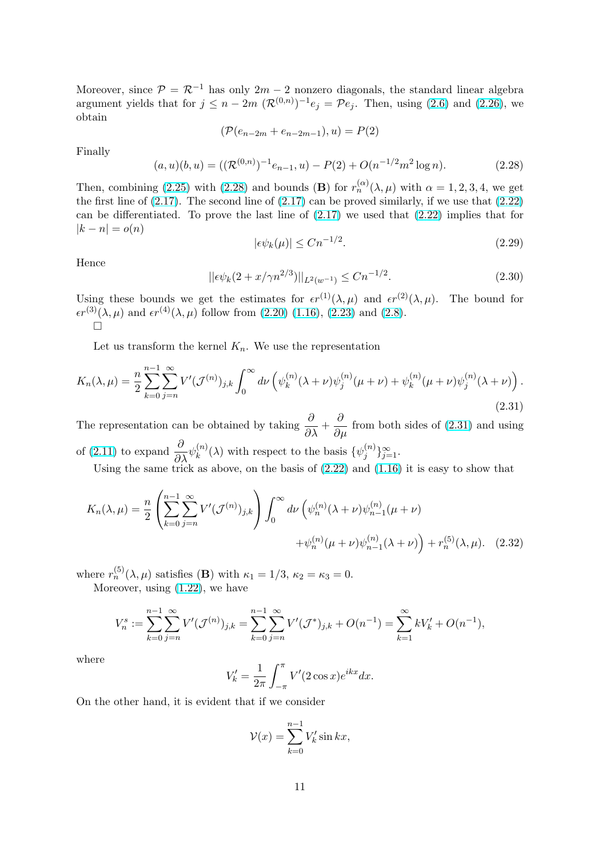<span id="page-10-0"></span>Moreover, since  $\mathcal{P} = \mathcal{R}^{-1}$  has only  $2m - 2$  nonzero diagonals, the standard linear algebra argument yields that for  $j \leq n-2m \, (\mathcal{R}^{(0,n)})^{-1} e_j = \mathcal{P} e_j$ . Then, using (2.6) and (2.26), we obtain

$$
(\mathcal{P}(e_{n-2m} + e_{n-2m-1}), u) = P(2)
$$

Finally

$$
(a, u)(b, u) = ((\mathcal{R}^{(0,n)})^{-1}e_{n-1}, u) - P(2) + O(n^{-1/2}m^2 \log n). \tag{2.28}
$$

Then, combining (2.25) with (2.28) and bounds (**B**) for  $r_n^{(\alpha)}(\lambda,\mu)$  with  $\alpha = 1,2,3,4$ , we get the first line of  $(2.17)$ . The second line of  $(2.17)$  can be proved similarly, if we use that  $(2.22)$ can be differentiated. To prove the last line of (2.17) we used that (2.22) implies that for  $|k - n| = o(n)$ 

$$
|\epsilon \psi_k(\mu)| \le Cn^{-1/2}.\tag{2.29}
$$

Hence

$$
||\epsilon \psi_k(2 + x/\gamma n^{2/3})||_{L^2(w^{-1})} \le Cn^{-1/2}.
$$
\n(2.30)

Using these bounds we get the estimates for  $\epsilon r^{(1)}(\lambda, \mu)$  and  $\epsilon r^{(2)}(\lambda, \mu)$ . The bound for  $\epsilon r^{(3)}(\lambda, \mu)$  and  $\epsilon r^{(4)}(\lambda, \mu)$  follow from (2.20) (1.16), (2.23) and (2.8).  $\Box$ 

Let us transform the kernel  $K_n$ . We use the representation

$$
K_n(\lambda, \mu) = \frac{n}{2} \sum_{k=0}^{n-1} \sum_{j=n}^{\infty} V'(\mathcal{J}^{(n)})_{j,k} \int_0^{\infty} d\nu \left( \psi_k^{(n)}(\lambda + \nu) \psi_j^{(n)}(\mu + \nu) + \psi_k^{(n)}(\mu + \nu) \psi_j^{(n)}(\lambda + \nu) \right).
$$
\n(2.31)

The representation can be obtained by taking  $\frac{\partial}{\partial \lambda} + \frac{\partial}{\partial \mu}$  from both sides of (2.31) and using of (2.11) to expand  $\frac{\partial}{\partial \lambda} \psi_k^{(n)}$  $\binom{n}{k}(\lambda)$  with respect to the basis  $\{\psi_j^{(n)}\}$  $\{n\}\}_{j=1}^{\infty}$ .

Using the same trick as above, on the basis of (2.22) and (1.16) it is easy to show that

$$
K_n(\lambda, \mu) = \frac{n}{2} \left( \sum_{k=0}^{n-1} \sum_{j=n}^{\infty} V'(\mathcal{J}^{(n)})_{j,k} \right) \int_0^{\infty} d\nu \left( \psi_n^{(n)}(\lambda + \nu) \psi_{n-1}^{(n)}(\mu + \nu) + \psi_n^{(n)}(\mu + \nu) \psi_{n-1}^{(n)}(\lambda + \nu) \right) + r_n^{(5)}(\lambda, \mu). \tag{2.32}
$$

where  $r_n^{(5)}(\lambda,\mu)$  satisfies (**B**) with  $\kappa_1 = 1/3$ ,  $\kappa_2 = \kappa_3 = 0$ .

Moreover, using (1.22), we have

$$
V_n^s := \sum_{k=0}^{n-1} \sum_{j=n}^{\infty} V'(\mathcal{J}^{(n)})_{j,k} = \sum_{k=0}^{n-1} \sum_{j=n}^{\infty} V'(\mathcal{J}^*)_{j,k} + O(n^{-1}) = \sum_{k=1}^{\infty} kV'_k + O(n^{-1}),
$$

where

$$
V'_{k} = \frac{1}{2\pi} \int_{-\pi}^{\pi} V'(2\cos x) e^{ikx} dx.
$$

On the other hand, it is evident that if we consider

$$
\mathcal{V}(x) = \sum_{k=0}^{n-1} V'_k \sin kx,
$$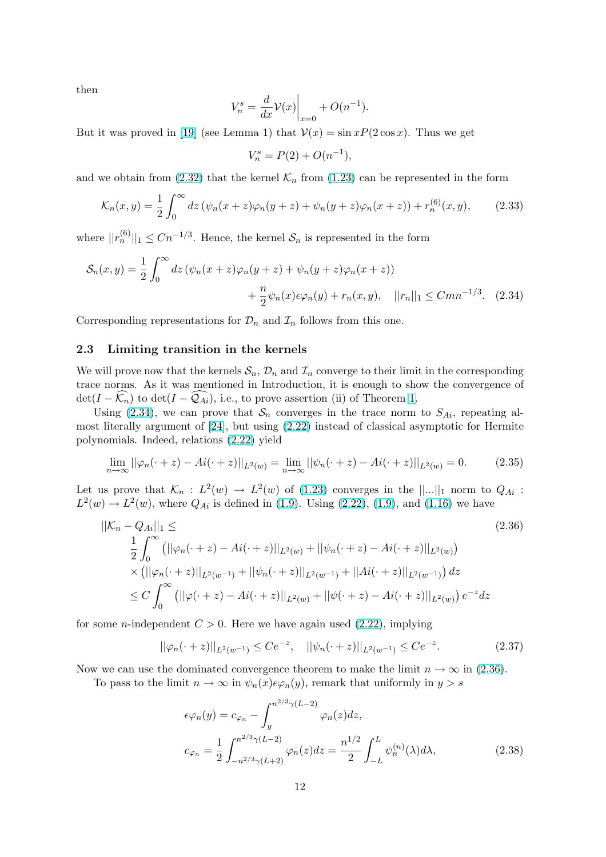<span id="page-11-0"></span>then

$$
V_n^s = \frac{d}{dx}\mathcal{V}(x)\Big|_{x=0} + O(n^{-1}).
$$

But it was proved in [19] (see Lemma 1) that  $\mathcal{V}(x) = \sin x P(2 \cos x)$ . Thus we get

$$
V_n^s = P(2) + O(n^{-1}),
$$

and we obtain from  $(2.32)$  $(2.32)$  $(2.32)$  that the kernel  $\mathcal{K}_n$  from  $(1.23)$  can be represented in the form

$$
\mathcal{K}_n(x,y) = \frac{1}{2} \int_0^\infty dz \left( \psi_n(x+z) \varphi_n(y+z) + \psi_n(y+z) \varphi_n(x+z) \right) + r_n^{(6)}(x,y), \tag{2.33}
$$

where  $||r_n^{(6)}||_1 \leq Cn^{-1/3}$  $||r_n^{(6)}||_1 \leq Cn^{-1/3}$  $||r_n^{(6)}||_1 \leq Cn^{-1/3}$ . Hence, the kernel  $S_n$  is re[presen](#page-4-0)ted in the form

$$
S_n(x,y) = \frac{1}{2} \int_0^\infty dz \left( \psi_n(x+z) \varphi_n(y+z) + \psi_n(y+z) \varphi_n(x+z) \right) + \frac{n}{2} \psi_n(x) \epsilon \varphi_n(y) + r_n(x,y), \quad ||r_n||_1 \leq C m n^{-1/3}. \quad (2.34)
$$

Corresponding representations for  $\mathcal{D}_n$  and  $\mathcal{I}_n$  follows from this one.

#### 2.3 Limiting transition in the kernels

We will prove now that the kernels  $S_n$ ,  $\mathcal{D}_n$  and  $\mathcal{I}_n$  converge to their limit in the corresponding trace norms. As it was mentioned in Introduction, it is enough to show the convergence of  $\det(I - \widehat{\mathcal{K}_n})$  to  $\det(I - \widehat{\mathcal{Q}_{Ai}})$ , i.e., to prove assertion (ii) of Theorem 1.

Using (2.34), we can prove that  $S_n$  converges in the trace norm to  $S_{Ai}$ , repeating almost literally argument of [24], but using (2.22) instead of classical asymptotic for Hermite polynomials. Indeed, relations (2.22) yield

$$
\lim_{n \to \infty} ||\varphi_n(\cdot + z) - Ai(\cdot + z)||_{L^2(w)} = \lim_{n \to \infty} ||\psi_n(\cdot + z) - Ai(\cdot + z)||_{L^2(w)} = 0.
$$
 (2.35)

Let us prove that  $\mathcal{K}_n : L^2(w) \to L^2(w)$  of (1.23) converges in the  $||...||_1$  norm to  $Q_{Ai}$ :  $L^2(w) \to L^2(w)$ , where  $Q_{Ai}$  is defined in (1.9). Using (2.22), (1.9), and (1.16) we have

$$
||\mathcal{K}_n - Q_{Ai}||_1 \leq
$$
\n
$$
\frac{1}{2} \int_0^\infty (||\varphi_n(\cdot + z) - Ai(\cdot + z)||_{L^2(w)} + ||\psi_n(\cdot + z) - Ai(\cdot + z)||_{L^2(w)})
$$
\n
$$
\times (||\varphi_n(\cdot + z)||_{L^2(w^{-1})} + ||\psi_n(\cdot + z)||_{L^2(w^{-1})} + ||Ai(\cdot + z)||_{L^2(w^{-1})}) dz
$$
\n
$$
\leq C \int_0^\infty (||\varphi(\cdot + z) - Ai(\cdot + z)||_{L^2(w)} + ||\psi(\cdot + z) - Ai(\cdot + z)||_{L^2(w)}) e^{-z} dz
$$
\n(2.36)

for some *n*-independent  $C > 0$ . Here we have again used  $(2.22)$ , implying

$$
||\varphi_n(\cdot+z)||_{L^2(w^{-1})} \le Ce^{-z}, \quad ||\psi_n(\cdot+z)||_{L^2(w^{-1})} \le Ce^{-z}.\tag{2.37}
$$

Now we can use the dominated convergence theorem to [make t](#page-8-0)he limit  $n \to \infty$  in (2.36).

To pass to the limit  $n \to \infty$  in  $\psi_n(x) \in \varphi_n(y)$ , remark that uniformly in  $y > s$ 

$$
\epsilon \varphi_n(y) = c_{\varphi_n} - \int_y^{n^{2/3} \gamma(L-2)} \varphi_n(z) dz,
$$
  

$$
c_{\varphi_n} = \frac{1}{2} \int_{-n^{2/3} \gamma(L+2)}^{n^{2/3} \gamma(L-2)} \varphi_n(z) dz = \frac{n^{1/2}}{2} \int_{-L}^{L} \psi_n^{(n)}(\lambda) d\lambda,
$$
 (2.38)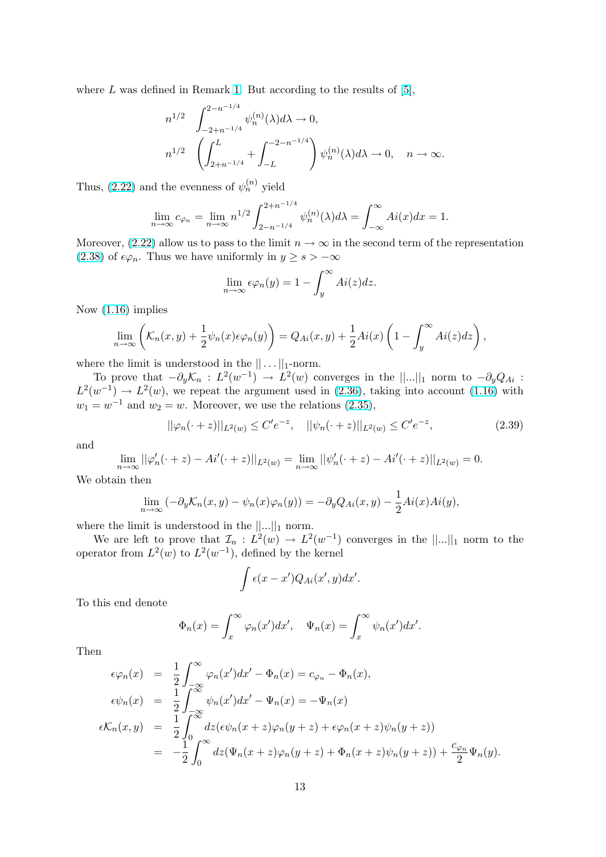where  $L$  was defined in Remark 1. But according to the results of [5],

$$
n^{1/2} \int_{-2+n^{-1/4}}^{2-n^{-1/4}} \psi_n^{(n)}(\lambda) d\lambda \to 0,
$$
  

$$
n^{1/2} \left( \int_{2+n^{-1/4}}^{L} + \int_{-L}^{-2-n^{-1/4}} \right) \psi_n^{(n)}(\lambda) d\lambda \to 0, \quad n \to \infty.
$$

Thus, (2.22) and the evenness of  $\psi_n^{(n)}$  yield

$$
\lim_{n \to \infty} c_{\varphi_n} = \lim_{n \to \infty} n^{1/2} \int_{2-n^{-1/4}}^{2+n^{-1/4}} \psi_n^{(n)}(\lambda) d\lambda = \int_{-\infty}^{\infty} Ai(x) dx = 1.
$$

Moreo[ver, \(2](#page-8-0).22) allow us to pass to the limit  $n \to \infty$  in the second term of the representation (2.38) of  $\epsilon \varphi_n$ . Thus we have uniformly in  $y \geq s > -\infty$ 

$$
\lim_{n \to \infty} \epsilon \varphi_n(y) = 1 - \int_y^\infty Ai(z) dz.
$$

[Now](#page-11-0) (1.16) implies

$$
\lim_{n\to\infty}\left(\mathcal{K}_n(x,y)+\frac{1}{2}\psi_n(x)\epsilon\varphi_n(y)\right)=Q_{Ai}(x,y)+\frac{1}{2}Ai(x)\left(1-\int_y^\infty Ai(z)dz\right),
$$

where [the](#page-3-0) limit is understood in the  $|| \dots ||_1$ -norm.

To prove that  $-\partial_y \mathcal{K}_n : L^2(w^{-1}) \to L^2(w)$  converges in the  $||...||_1$  norm to  $-\partial_y Q_{Ai}$ :  $L^2(w^{-1}) \to L^2(w)$ , we repeat the argument used in (2.36), taking into account (1.16) with  $w_1 = w^{-1}$  and  $w_2 = w$ . Moreover, we use the relations (2.35),

$$
||\varphi_n(\cdot+z)||_{L^2(w)} \le C'e^{-z}, \quad ||\psi_n(\cdot+z)||_{L^2(w)} \le C'e^{-z}, \tag{2.39}
$$

and

$$
\lim_{n \to \infty} ||\varphi'_n(\cdot + z) - Ai'(\cdot + z)||_{L^2(w)} = \lim_{n \to \infty} ||\psi'_n(\cdot + z) - Ai'(\cdot + z)||_{L^2(w)} = 0.
$$

We obtain then

$$
\lim_{n \to \infty} \left( -\partial_y \mathcal{K}_n(x, y) - \psi_n(x) \varphi_n(y) \right) = -\partial_y Q_{Ai}(x, y) - \frac{1}{2} Ai(x) Ai(y),
$$

where the limit is understood in the  $||...||_1$  norm.

 $\cdot$ 

We are left to prove that  $\mathcal{I}_n : L^2(w) \to L^2(w^{-1})$  converges in the  $||...||_1$  norm to the operator from  $L^2(w)$  to  $L^2(w^{-1})$ , defined by the kernel

$$
\int \epsilon(x-x')Q_{Ai}(x',y)dx'.
$$

To this end denote

$$
\Phi_n(x) = \int_x^\infty \varphi_n(x') dx', \quad \Psi_n(x) = \int_x^\infty \psi_n(x') dx'.
$$

Then

$$
\epsilon \varphi_n(x) = \frac{1}{2} \int_{-\infty}^{\infty} \varphi_n(x') dx' - \Phi_n(x) = c_{\varphi_n} - \Phi_n(x),
$$
  
\n
$$
\epsilon \psi_n(x) = \frac{1}{2} \int_{-\infty}^{\infty} \psi_n(x') dx' - \Psi_n(x) = -\Psi_n(x)
$$
  
\n
$$
\epsilon \mathcal{K}_n(x, y) = \frac{1}{2} \int_{0}^{\infty} dz (\epsilon \psi_n(x + z) \varphi_n(y + z) + \epsilon \varphi_n(x + z) \psi_n(y + z))
$$
  
\n
$$
= -\frac{1}{2} \int_{0}^{\infty} dz (\Psi_n(x + z) \varphi_n(y + z) + \Phi_n(x + z) \psi_n(y + z)) + \frac{c_{\varphi_n}}{2} \Psi_n(y).
$$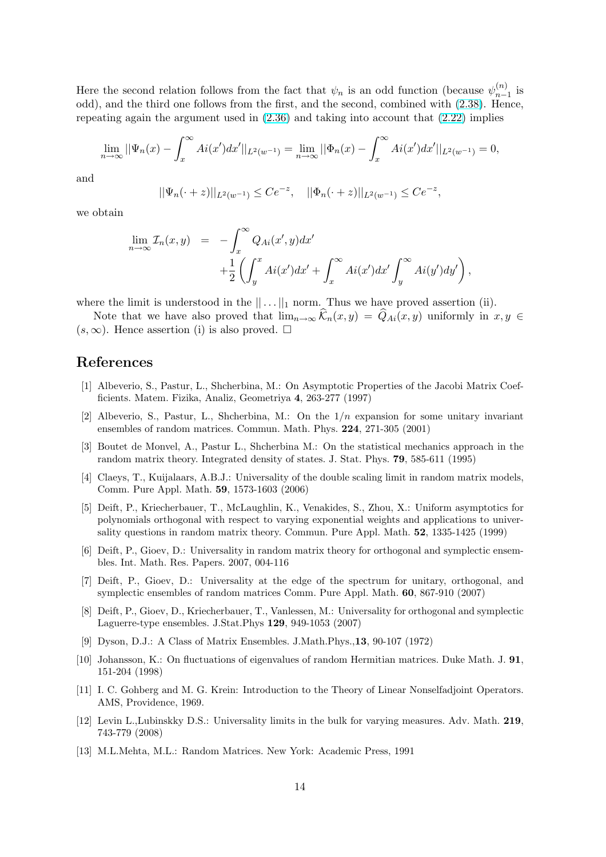<span id="page-13-0"></span>Here the second relation follows from the fact that  $\psi_n$  is an odd function (because  $\psi_{n-}^{(n)}$ )  $\binom{n}{n-1}$  is odd), and the third one follows from the first, and the second, combined with (2.38). Hence, repeating again the argument used in (2.36) and taking into account that (2.22) implies

$$
\lim_{n \to \infty} ||\Psi_n(x) - \int_x^{\infty} Ai(x') dx' ||_{L^2(w^{-1})} = \lim_{n \to \infty} ||\Phi_n(x) - \int_x^{\infty} Ai(x') dx' ||_{L^2(w^{-1})} = 0,
$$

and

$$
||\Psi_n(\cdot+z)||_{L^2(w^{-1})} \le Ce^{-z}, \quad ||\Phi_n(\cdot+z)||_{L^2(w^{-1})} \le Ce^{-z},
$$

we obtain

$$
\lim_{n \to \infty} \mathcal{I}_n(x, y) = -\int_x^{\infty} Q_{Ai}(x', y) dx' + \frac{1}{2} \left( \int_y^x Ai(x') dx' + \int_x^{\infty} Ai(x') dx' \int_y^{\infty} Ai(y') dy' \right),
$$

where the limit is understood in the  $|| \dots ||_1$  norm. Thus we have proved assertion (ii).

Note that we have also proved that  $\lim_{n\to\infty} \widehat{\mathcal{K}}_n(x, y) = \widehat{Q}_{Ai}(x, y)$  uniformly in  $x, y \in$  $(s, \infty)$ . Hence assertion (i) is also proved.  $\square$ 

#### References

- [1] Albeverio, S., Pastur, L., Shcherbina, M.: On Asymptotic Properties of the Jacobi Matrix Coefficients. Matem. Fizika, Analiz, Geometriya 4, 263-277 (1997)
- [2] Albeverio, S., Pastur, L., Shcherbina, M.: On the  $1/n$  expansion for some unitary invariant ensembles of random matrices. Commun. Math. Phys. 224, 271-305 (2001)
- [3] Boutet de Monvel, A., Pastur L., Shcherbina M.: On the statistical mechanics approach in the random matrix theory. Integrated density of states. J. Stat. Phys. 79, 585-611 (1995)
- [4] Claeys, T., Kuijalaars, A.B.J.: Universality of the double scaling limit in random matrix models, Comm. Pure Appl. Math. 59, 1573-1603 (2006)
- [5] Deift, P., Kriecherbauer, T., McLaughlin, K., Venakides, S., Zhou, X.: Uniform asymptotics for polynomials orthogonal with respect to varying exponential weights and applications to universality questions in random matrix theory. Commun. Pure Appl. Math. 52, 1335-1425 (1999)
- [6] Deift, P., Gioev, D.: Universality in random matrix theory for orthogonal and symplectic ensembles. Int. Math. Res. Papers. 2007, 004-116
- [7] Deift, P., Gioev, D.: Universality at the edge of the spectrum for unitary, orthogonal, and symplectic ensembles of random matrices Comm. Pure Appl. Math. 60, 867-910 (2007)
- [8] Deift, P., Gioev, D., Kriecherbauer, T., Vanlessen, M.: Universality for orthogonal and symplectic Laguerre-type ensembles. J.Stat.Phys 129, 949-1053 (2007)
- [9] Dyson, D.J.: A Class of Matrix Ensembles. J.Math.Phys.,13, 90-107 (1972)
- [10] Johansson, K.: On fluctuations of eigenvalues of random Hermitian matrices. Duke Math. J. 91, 151-204 (1998)
- [11] I. C. Gohberg and M. G. Krein: Introduction to the Theory of Linear Nonselfadjoint Operators. AMS, Providence, 1969.
- [12] Levin L.,Lubinskky D.S.: Universality limits in the bulk for varying measures. Adv. Math. 219, 743-779 (2008)
- [13] M.L.Mehta, M.L.: Random Matrices. New York: Academic Press, 1991